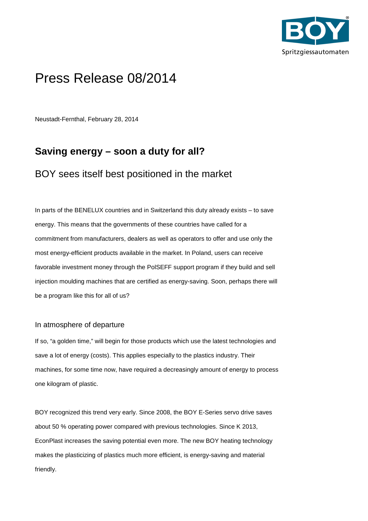

# Press Release 08/2014

Neustadt-Fernthal, February 28, 2014

# **Saving energy – soon a duty for all?**

# BOY sees itself best positioned in the market

In parts of the BENELUX countries and in Switzerland this duty already exists – to save energy. This means that the governments of these countries have called for a commitment from manufacturers, dealers as well as operators to offer and use only the most energy-efficient products available in the market. In Poland, users can receive favorable investment money through the PolSEFF support program if they build and sell injection moulding machines that are certified as energy-saving. Soon, perhaps there will be a program like this for all of us?

## In atmosphere of departure

If so, "a golden time," will begin for those products which use the latest technologies and save a lot of energy (costs). This applies especially to the plastics industry. Their machines, for some time now, have required a decreasingly amount of energy to process one kilogram of plastic.

BOY recognized this trend very early. Since 2008, the BOY E-Series servo drive saves about 50 % operating power compared with previous technologies. Since K 2013, EconPlast increases the saving potential even more. The new BOY heating technology makes the plasticizing of plastics much more efficient, is energy-saving and material friendly.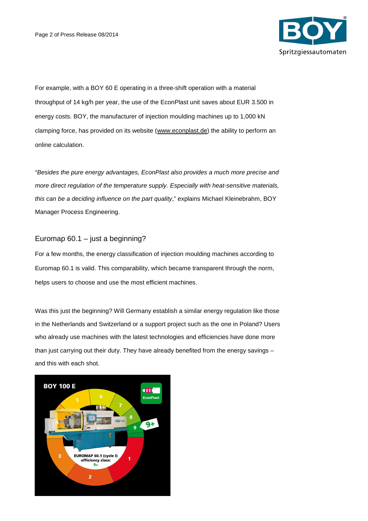

For example, with a BOY 60 E operating in a three-shift operation with a material throughput of 14 kg/h per year, the use of the EconPlast unit saves about EUR 3.500 in energy costs. BOY, the manufacturer of injection moulding machines up to 1,000 kN clamping force, has provided on its website (www.econplast.de) the ability to perform an online calculation.

"Besides the pure energy advantages, EconPlast also provides a much more precise and more direct regulation of the temperature supply. Especially with heat-sensitive materials, this can be a deciding influence on the part quality," explains Michael Kleinebrahm, BOY Manager Process Engineering.

## Euromap 60.1 – just a beginning?

For a few months, the energy classification of injection moulding machines according to Euromap 60.1 is valid. This comparability, which became transparent through the norm, helps users to choose and use the most efficient machines.

Was this just the beginning? Will Germany establish a similar energy regulation like those in the Netherlands and Switzerland or a support project such as the one in Poland? Users who already use machines with the latest technologies and efficiencies have done more than just carrying out their duty. They have already benefited from the energy savings and this with each shot.

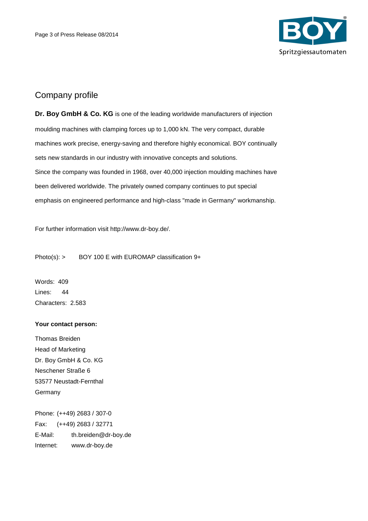

## Company profile

**Dr. Boy GmbH & Co. KG** is one of the leading worldwide manufacturers of injection moulding machines with clamping forces up to 1,000 kN. The very compact, durable machines work precise, energy-saving and therefore highly economical. BOY continually sets new standards in our industry with innovative concepts and solutions. Since the company was founded in 1968, over 40,000 injection moulding machines have been delivered worldwide. The privately owned company continues to put special emphasis on engineered performance and high-class "made in Germany" workmanship.

For further information visit http://www.dr-boy.de/.

Photo(s): > BOY 100 E with EUROMAP classification 9+

Words: 409 Lines: 44 Characters: 2.583

#### **Your contact person:**

Thomas Breiden Head of Marketing Dr. Boy GmbH & Co. KG Neschener Straße 6 53577 Neustadt-Fernthal Germany

Phone: (++49) 2683 / 307-0 Fax: (++49) 2683 / 32771 E-Mail: th.breiden@dr-boy.de Internet: www.dr-boy.de